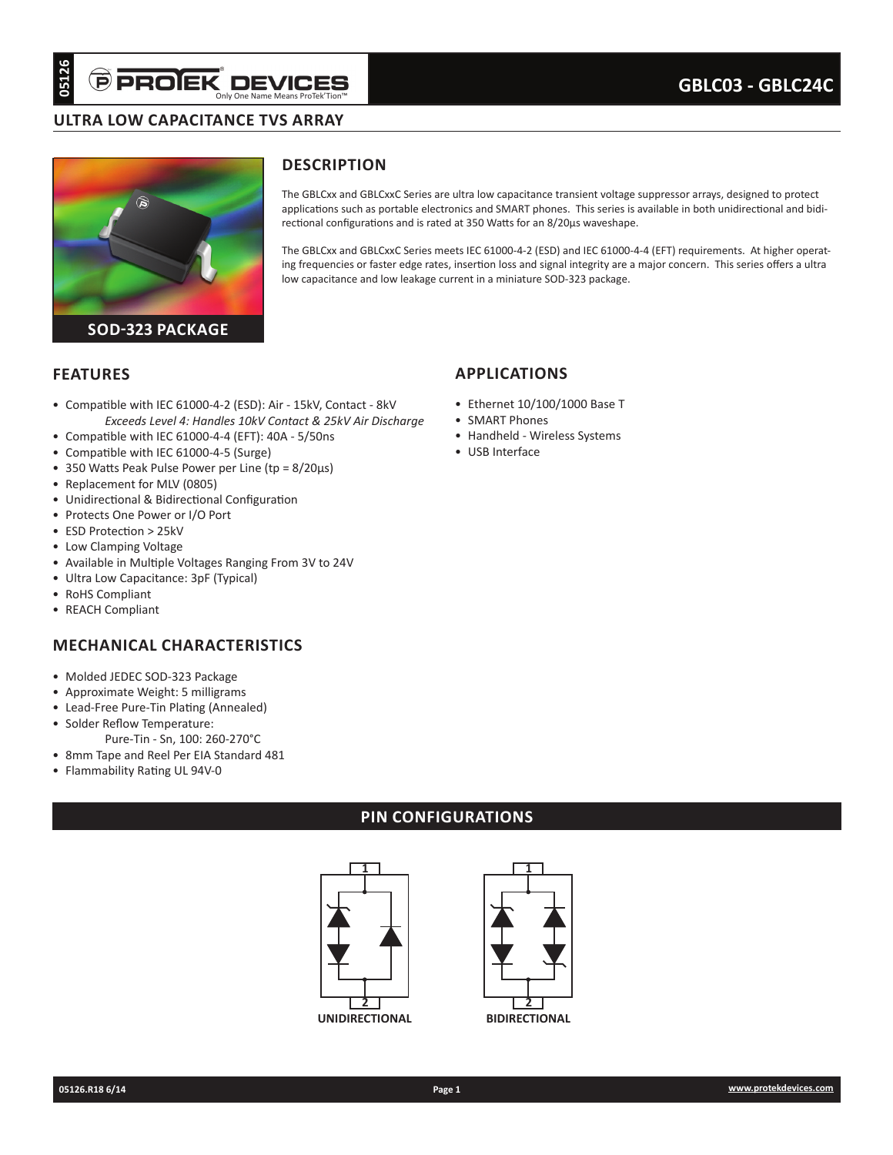#### **ULTRA LOW CAPACITANCE TVS ARRAY**



## **DESCRIPTION**

The GBLCxx and GBLCxxC Series are ultra low capacitance transient voltage suppressor arrays, designed to protect applications such as portable electronics and SMART phones. This series is available in both unidirectional and bidirectional configurations and is rated at 350 Watts for an 8/20µs waveshape.

The GBLCxx and GBLCxxC Series meets IEC 61000-4-2 (ESD) and IEC 61000-4-4 (EFT) requirements. At higher operating frequencies or faster edge rates, insertion loss and signal integrity are a major concern. This series offers a ultra low capacitance and low leakage current in a miniature SOD-323 package.

**APPLICATIONS**

• SMART Phones

• USB Interface

• Ethernet 10/100/1000 Base T

• Handheld - Wireless Systems

#### **FEATURES**

- Compatible with IEC 61000-4-2 (ESD): Air 15kV, Contact 8kV *Exceeds Level 4: Handles 10kV Contact & 25kV Air Discharge*
- Compatible with IEC 61000-4-4 (EFT): 40A 5/50ns
- Compatible with IEC 61000-4-5 (Surge)
- 350 Watts Peak Pulse Power per Line (tp = 8/20µs)
- Replacement for MLV (0805)
- Unidirectional & Bidirectional Configuration
- Protects One Power or I/O Port
- ESD Protection > 25kV
- Low Clamping Voltage
- Available in Multiple Voltages Ranging From 3V to 24V
- Ultra Low Capacitance: 3pF (Typical)
- 

#### **MECHANICAL CHARACTERISTICS**

- Molded JEDEC SOD-323 Package
- Approximate Weight: 5 milligrams
- Lead-Free Pure-Tin Plating (Annealed)
- Solder Reflow Temperature:
- Pure-Tin Sn, 100: 260-270°C
- 8mm Tape and Reel Per EIA Standard 481
- Flammability Rating UL 94V-0

#### **PIN CONFIGURATIONS**





## • RoHS Compliant

• REACH Compliant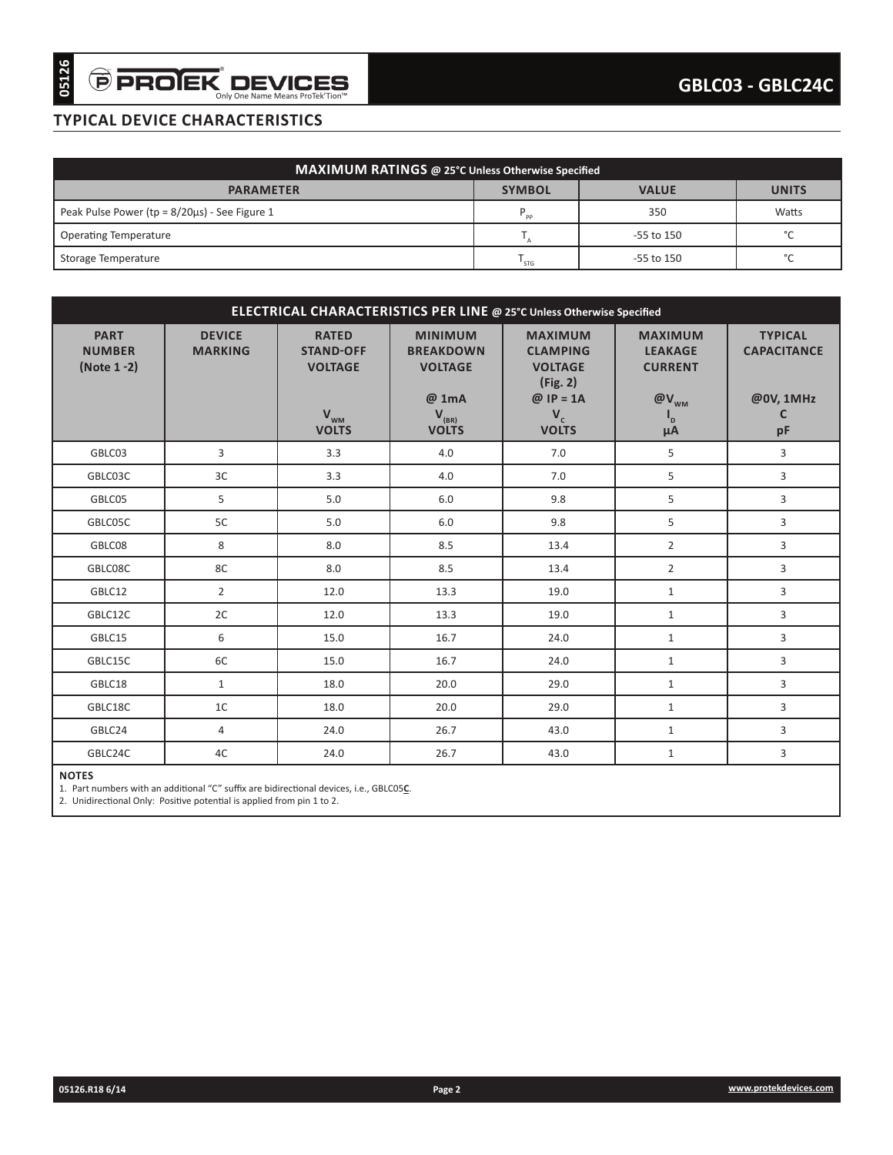## **TYPICAL DEVICE CHARACTERISTICS**

| MAXIMUM RATINGS @ 25°C Unless Otherwise Specified    |                |                |              |  |  |  |  |  |
|------------------------------------------------------|----------------|----------------|--------------|--|--|--|--|--|
| <b>PARAMETER</b>                                     | <b>SYMBOL</b>  | <b>VALUE</b>   | <b>UNITS</b> |  |  |  |  |  |
| Peak Pulse Power ( $tp = 8/20\mu s$ ) - See Figure 1 | D <sub>D</sub> | 350            | Watts        |  |  |  |  |  |
| <b>Operating Temperature</b>                         |                | $-55$ to $150$ | $\sim$       |  |  |  |  |  |
| Storage Temperature                                  | ' STG          | $-55$ to $150$ | $\sim$       |  |  |  |  |  |

| MAXIMUM RATINGS @ 25°C Unless Otherwise Specified<br><b>SYMBOL</b><br><b>PARAMETER</b><br>$\mathsf{P}_{\mathsf{pp}}$<br>$\mathsf{T}_{\scriptscriptstyle\mathsf{A}}$<br>$\mathsf{T}_{\mathsf{STG}}$<br>ELECTRICAL CHARACTERISTICS PER LINE @ 25°C Unless Otherwise Specified<br><b>PART</b><br><b>DEVICE</b><br><b>RATED</b><br><b>MINIMUM</b><br><b>MAXIMUM</b><br><b>STAND-OFF</b><br><b>CLAMPING</b><br><b>NUMBER</b><br><b>MARKING</b><br><b>BREAKDOWN</b><br>(Note 1 -2)<br><b>VOLTAGE</b><br><b>VOLTAGE</b><br><b>VOLTAGE</b><br>(Fig. 2)<br>$@$ IP = 1A<br>@ 1mA<br>$V_{WM}$<br>$V_{(BR)}$<br>$V_c$<br><b>VOLTS</b><br><b>VOLTS</b><br><b>VOLTS</b> | <b>VALUE</b><br><b>UNITS</b><br>350<br>Watts<br>°C<br>-55 to 150<br>$^{\circ}{\rm C}$<br>-55 to 150<br><b>MAXIMUM</b><br><b>TYPICAL</b><br><b>LEAKAGE</b><br><b>CAPACITANCE</b><br><b>CURRENT</b> |
|-----------------------------------------------------------------------------------------------------------------------------------------------------------------------------------------------------------------------------------------------------------------------------------------------------------------------------------------------------------------------------------------------------------------------------------------------------------------------------------------------------------------------------------------------------------------------------------------------------------------------------------------------------------|---------------------------------------------------------------------------------------------------------------------------------------------------------------------------------------------------|
| Peak Pulse Power (tp = $8/20\mu s$ ) - See Figure 1<br><b>Operating Temperature</b><br>Storage Temperature                                                                                                                                                                                                                                                                                                                                                                                                                                                                                                                                                |                                                                                                                                                                                                   |
|                                                                                                                                                                                                                                                                                                                                                                                                                                                                                                                                                                                                                                                           |                                                                                                                                                                                                   |
|                                                                                                                                                                                                                                                                                                                                                                                                                                                                                                                                                                                                                                                           |                                                                                                                                                                                                   |
|                                                                                                                                                                                                                                                                                                                                                                                                                                                                                                                                                                                                                                                           |                                                                                                                                                                                                   |
|                                                                                                                                                                                                                                                                                                                                                                                                                                                                                                                                                                                                                                                           |                                                                                                                                                                                                   |
|                                                                                                                                                                                                                                                                                                                                                                                                                                                                                                                                                                                                                                                           |                                                                                                                                                                                                   |
|                                                                                                                                                                                                                                                                                                                                                                                                                                                                                                                                                                                                                                                           |                                                                                                                                                                                                   |
|                                                                                                                                                                                                                                                                                                                                                                                                                                                                                                                                                                                                                                                           | @0V, 1MHz<br>$@V_{_{WM}}$                                                                                                                                                                         |
|                                                                                                                                                                                                                                                                                                                                                                                                                                                                                                                                                                                                                                                           | C<br>$\mathsf{I}_{\mathsf{D}}$<br>pF<br>$\mu$ A                                                                                                                                                   |
| 3<br>GBLC03<br>3.3<br>4.0<br>7.0                                                                                                                                                                                                                                                                                                                                                                                                                                                                                                                                                                                                                          | 5<br>3                                                                                                                                                                                            |
| 3C<br>3.3<br>4.0<br>7.0<br>GBLC03C                                                                                                                                                                                                                                                                                                                                                                                                                                                                                                                                                                                                                        | 5<br>3                                                                                                                                                                                            |
| 5<br>5.0<br>6.0<br>9.8<br>GBLC05                                                                                                                                                                                                                                                                                                                                                                                                                                                                                                                                                                                                                          | 5<br>3                                                                                                                                                                                            |
| GBLC05C<br>5C<br>5.0<br>6.0<br>9.8                                                                                                                                                                                                                                                                                                                                                                                                                                                                                                                                                                                                                        | 5<br>3                                                                                                                                                                                            |
| 8<br>8.5<br>GBLC08<br>8.0<br>13.4                                                                                                                                                                                                                                                                                                                                                                                                                                                                                                                                                                                                                         | $\overline{3}$<br>$\overline{2}$                                                                                                                                                                  |
| 8C<br>8.0<br>8.5<br>GBLC08C<br>13.4                                                                                                                                                                                                                                                                                                                                                                                                                                                                                                                                                                                                                       | 3<br>$\overline{2}$                                                                                                                                                                               |
| GBLC12<br>$\overline{2}$<br>12.0<br>13.3<br>19.0                                                                                                                                                                                                                                                                                                                                                                                                                                                                                                                                                                                                          | 3<br>$\mathbf{1}$                                                                                                                                                                                 |
| 2C<br>GBLC12C<br>12.0<br>13.3<br>19.0                                                                                                                                                                                                                                                                                                                                                                                                                                                                                                                                                                                                                     | 3<br>$\mathbf{1}$                                                                                                                                                                                 |
| 6<br>GBLC15<br>15.0<br>16.7<br>24.0                                                                                                                                                                                                                                                                                                                                                                                                                                                                                                                                                                                                                       | 3<br>$\mathbf{1}$                                                                                                                                                                                 |
| 6C<br>GBLC15C<br>15.0<br>16.7<br>24.0                                                                                                                                                                                                                                                                                                                                                                                                                                                                                                                                                                                                                     | 3<br>$\mathbf{1}$                                                                                                                                                                                 |
| $\mathbf{1}$<br>20.0<br>29.0<br>GBLC18<br>18.0                                                                                                                                                                                                                                                                                                                                                                                                                                                                                                                                                                                                            | 3<br>$\mathbf{1}$                                                                                                                                                                                 |
| 1 <sup>C</sup><br>20.0<br>GBLC18C<br>18.0<br>29.0                                                                                                                                                                                                                                                                                                                                                                                                                                                                                                                                                                                                         | 3<br>$\mathbf{1}$                                                                                                                                                                                 |
| GBLC24<br>4<br>26.7<br>43.0<br>24.0                                                                                                                                                                                                                                                                                                                                                                                                                                                                                                                                                                                                                       | 3<br>$\mathbf{1}$                                                                                                                                                                                 |
| GBLC24C<br>4C<br>24.0<br>43.0<br>26.7                                                                                                                                                                                                                                                                                                                                                                                                                                                                                                                                                                                                                     | 3<br>$\mathbf{1}$                                                                                                                                                                                 |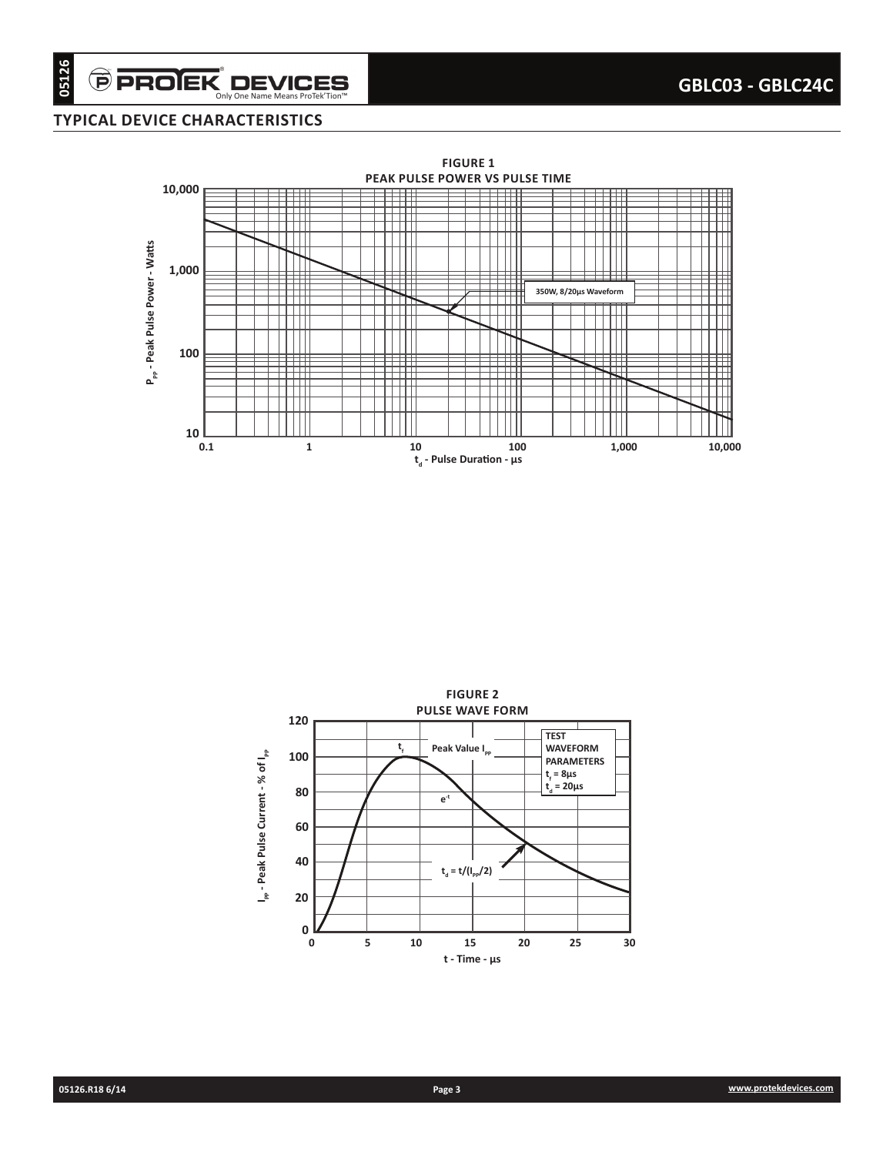#### **TYPICAL DEVICE CHARACTERISTICS**

 $\widehat{\boldsymbol{\Theta}}$  PROIEK $\displaystyle\nonumber \operatorname*{D}\textbf{EVICES}\over \textrm{Only One Name Mean B for TekTion"}$ 



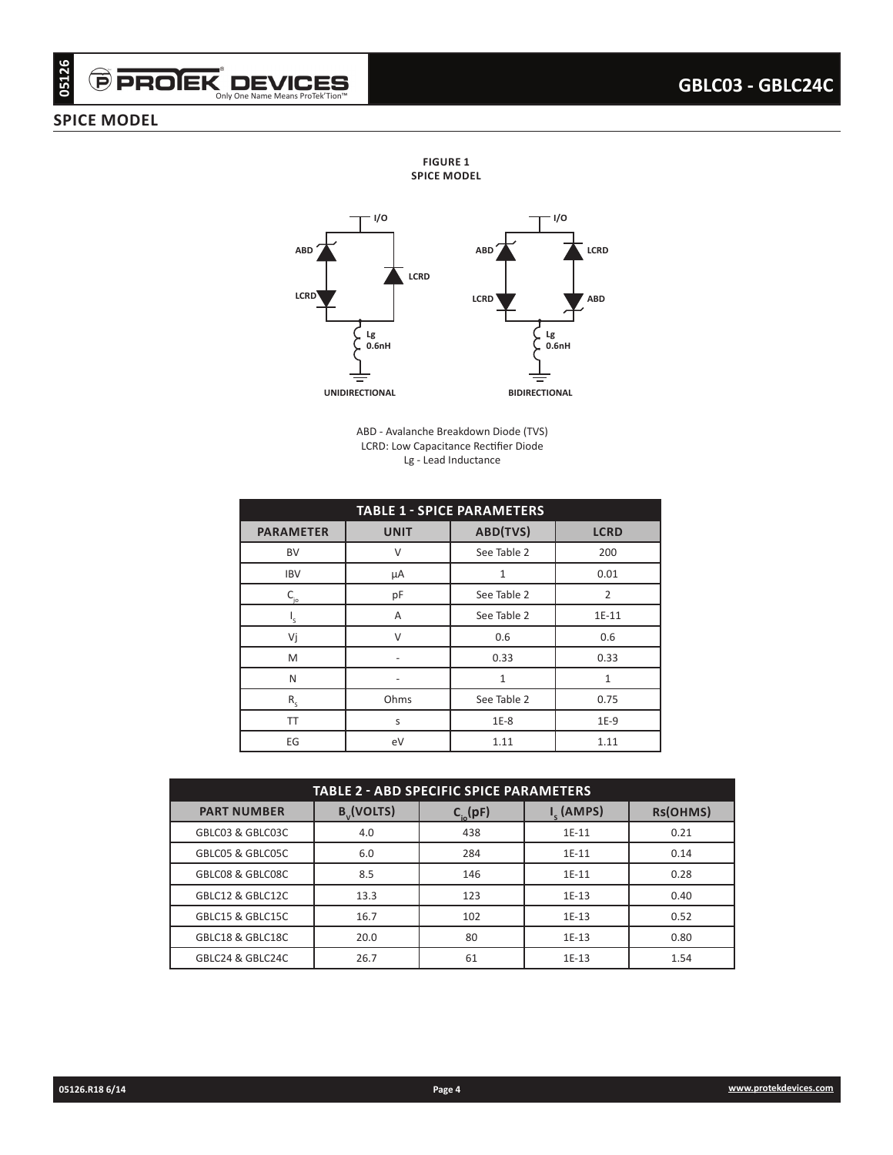# $\widehat{\boldsymbol{\Theta}}$  PROIEK $\displaystyle\negthinspace\negthinspace\boldsymbol{\mathsf{D}}$  DEVICES

#### **SPICE MODEL**

**FIGURE 1 SPICE MODEL**



ABD - Avalanche Breakdown Diode (TVS) LCRD: Low Capacitance Rectifier Diode Lg - Lead Inductance

| 05126<br><b>PPROJEK DEV</b><br><b>PICE MODEL</b> | Only One Name Means ProTek'Tion™       |                |                                                                |                                       |                                                               |                      |                    |              | GBLC03 - GBLC24C      |
|--------------------------------------------------|----------------------------------------|----------------|----------------------------------------------------------------|---------------------------------------|---------------------------------------------------------------|----------------------|--------------------|--------------|-----------------------|
|                                                  |                                        |                |                                                                |                                       |                                                               |                      |                    |              |                       |
|                                                  |                                        |                |                                                                | <b>FIGURE 1</b><br><b>SPICE MODEL</b> |                                                               |                      |                    |              |                       |
|                                                  |                                        |                |                                                                |                                       |                                                               |                      |                    |              |                       |
|                                                  |                                        |                | - 1/0                                                          |                                       |                                                               |                      | I/O                |              |                       |
|                                                  | ABD                                    |                |                                                                |                                       | <b>ABD</b>                                                    |                      | LCRD               |              |                       |
|                                                  |                                        |                | LCRD                                                           |                                       |                                                               |                      |                    |              |                       |
|                                                  | LCRD                                   |                |                                                                |                                       | LCRD                                                          |                      | <b>ABD</b>         |              |                       |
|                                                  |                                        |                | Lg                                                             |                                       |                                                               | Lg                   |                    |              |                       |
|                                                  |                                        |                | 0.6nH                                                          |                                       |                                                               |                      | 0.6nH              |              |                       |
|                                                  |                                        | UNIDIRECTIONAL |                                                                |                                       |                                                               | <b>BIDIRECTIONAL</b> |                    |              |                       |
|                                                  |                                        |                |                                                                |                                       |                                                               |                      |                    |              |                       |
|                                                  |                                        |                |                                                                |                                       | ABD - Avalanche Breakdown Diode (TVS)                         |                      |                    |              |                       |
|                                                  |                                        |                |                                                                |                                       | LCRD: Low Capacitance Rectifier Diode<br>Lg - Lead Inductance |                      |                    |              |                       |
|                                                  |                                        |                |                                                                |                                       |                                                               |                      |                    |              |                       |
|                                                  |                                        |                |                                                                |                                       | <b>TABLE 1 - SPICE PARAMETERS</b>                             |                      |                    |              |                       |
|                                                  | <b>PARAMETER</b>                       |                | <b>UNIT</b>                                                    |                                       | ABD(TVS)                                                      |                      | <b>LCRD</b>        |              |                       |
|                                                  | BV                                     |                | $\vee$                                                         |                                       | See Table 2                                                   |                      | 200<br>0.01        |              |                       |
|                                                  | <b>IBV</b><br>$\mathsf{C}_{_{\sf jo}}$ |                | $\mathbf{1}$<br>$\mu$ A<br>$\overline{2}$<br>pF<br>See Table 2 |                                       |                                                               |                      |                    |              |                       |
|                                                  | $\mathsf{I}_{\mathsf{s}}$              |                | Α                                                              |                                       | See Table 2                                                   |                      | 1E-11              |              |                       |
|                                                  | Vj                                     |                | $\vee$                                                         |                                       | 0.6                                                           |                      | 0.6                |              |                       |
|                                                  | ${\sf M}$                              |                | $\overline{\phantom{a}}$                                       |                                       | 0.33                                                          |                      | 0.33               |              |                       |
|                                                  | N                                      |                | $\overline{\phantom{a}}$                                       |                                       | $\mathbf{1}$                                                  |                      | $1\,$              |              |                       |
|                                                  | $\mathsf{R}_{\mathsf{s}}$<br>TT        |                | Ohms<br>S                                                      |                                       | See Table 2<br>$1E-8$                                         |                      | 0.75<br>$1E-9$     |              |                       |
|                                                  | $\mathsf{EG}$                          |                | eV                                                             |                                       | 1.11                                                          |                      | 1.11               |              |                       |
|                                                  |                                        |                |                                                                |                                       |                                                               |                      |                    |              |                       |
|                                                  |                                        |                |                                                                |                                       | TABLE 2 - ABD SPECIFIC SPICE PARAMETERS                       |                      |                    |              |                       |
|                                                  | <b>PART NUMBER</b>                     |                | $B_{v}$ (VOLTS)                                                |                                       | $C_{i0}^{\text{(pF)}}$                                        |                      | $I_s$ (AMPS)       | RS(OHMS)     |                       |
|                                                  | GBLC03 & GBLC03C                       |                | 4.0                                                            |                                       | 438                                                           |                      | $1E-11$            | 0.21         |                       |
|                                                  | GBLC05 & GBLC05C                       |                | $6.0\,$                                                        |                                       | 284                                                           |                      | $1E-11$            | 0.14         |                       |
|                                                  | GBLC08 & GBLC08C<br>GBLC12 & GBLC12C   |                | 8.5<br>13.3                                                    |                                       | 146<br>123                                                    |                      | $1E-11$<br>$1E-13$ | 0.28<br>0.40 |                       |
|                                                  | GBLC15 & GBLC15C                       |                | 16.7                                                           |                                       | 102                                                           |                      | $1E-13$            | 0.52         |                       |
|                                                  | GBLC18 & GBLC18C                       |                | 20.0                                                           |                                       | 80                                                            |                      | $1E-13$            | 0.80         |                       |
|                                                  | GBLC24 & GBLC24C                       |                | 26.7                                                           |                                       | 61                                                            |                      | $1E-13$            | 1.54         |                       |
|                                                  |                                        |                |                                                                |                                       |                                                               |                      |                    |              |                       |
|                                                  |                                        |                |                                                                |                                       |                                                               |                      |                    |              |                       |
|                                                  |                                        |                |                                                                |                                       |                                                               |                      |                    |              |                       |
|                                                  |                                        |                |                                                                |                                       |                                                               |                      |                    |              |                       |
| 05126.R18 6/14                                   |                                        |                |                                                                | Page 4                                |                                                               |                      |                    |              | www.protekdevices.com |

| <b>TABLE 2 - ABD SPECIFIC SPICE PARAMETERS</b> |                 |               |                |          |  |  |  |  |  |
|------------------------------------------------|-----------------|---------------|----------------|----------|--|--|--|--|--|
| <b>PART NUMBER</b>                             | $B_{v}$ (VOLTS) | $C_{i_0}(pF)$ | $I_{c}$ (AMPS) | RS(OHMS) |  |  |  |  |  |
| GBLC03 & GBLC03C                               | 4.0             | 438           | $1E-11$        | 0.21     |  |  |  |  |  |
| GBLC05 & GBLC05C                               | 6.0             | 284           | $1E-11$        | 0.14     |  |  |  |  |  |
| GBLC08 & GBLC08C                               | 8.5             | 146           | $1E-11$        | 0.28     |  |  |  |  |  |
| GBLC12 & GBLC12C                               | 13.3            | 123           | $1E-13$        | 0.40     |  |  |  |  |  |
| GBLC15 & GBLC15C                               | 16.7            | 102           | 1E-13          | 0.52     |  |  |  |  |  |
| GBLC18 & GBLC18C                               | 20.0            | 80            | 1E-13          | 0.80     |  |  |  |  |  |
| GBLC24 & GBLC24C                               | 26.7            | 61            | 1E-13          | 1.54     |  |  |  |  |  |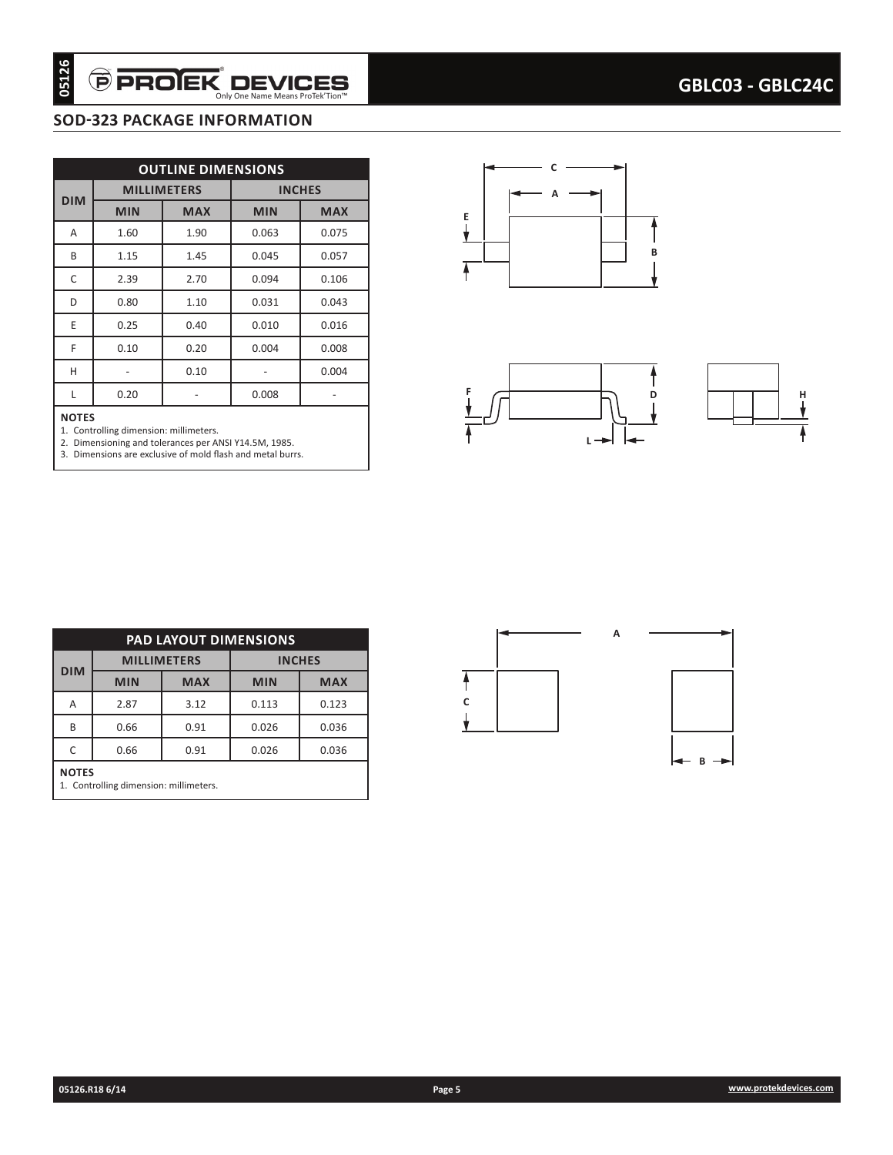## **SOD-323 PACKAGE INFORMATION**

| 05126        | <b>PROJEK DEVICES</b>                                                                                                                                         |                           | Only One Name Means ProTek'Tion™ |                          | GBLC03 - GBLC24C             |
|--------------|---------------------------------------------------------------------------------------------------------------------------------------------------------------|---------------------------|----------------------------------|--------------------------|------------------------------|
|              | <b>SOD-323 PACKAGE INFORMATION</b>                                                                                                                            |                           |                                  |                          |                              |
|              |                                                                                                                                                               |                           |                                  |                          |                              |
|              |                                                                                                                                                               | <b>OUTLINE DIMENSIONS</b> |                                  |                          |                              |
| <b>DIM</b>   |                                                                                                                                                               | <b>MILLIMETERS</b>        |                                  | <b>INCHES</b>            |                              |
|              | <b>MIN</b>                                                                                                                                                    | <b>MAX</b>                | <b>MIN</b>                       | <b>MAX</b>               | Ε                            |
| Α            | 1.60                                                                                                                                                          | 1.90                      | 0.063                            | 0.075                    |                              |
| B            | 1.15                                                                                                                                                          | 1.45                      | 0.045                            | 0.057                    | в                            |
| C            | 2.39                                                                                                                                                          | 2.70                      | 0.094                            | 0.106                    |                              |
| D            | 0.80                                                                                                                                                          | 1.10                      | 0.031                            | 0.043                    |                              |
| E            | 0.25                                                                                                                                                          | 0.40                      | 0.010                            | 0.016                    |                              |
| F            | 0.10                                                                                                                                                          | 0.20                      | 0.004                            | 0.008                    |                              |
| H            | $\equiv$                                                                                                                                                      | 0.10                      | $\omega$                         | 0.004                    |                              |
| L            | 0.20                                                                                                                                                          | $\overline{\phantom{a}}$  | 0.008                            | $\overline{\phantom{a}}$ | D<br>н                       |
| <b>NOTES</b> | 1. Controlling dimension: millimeters.<br>2. Dimensioning and tolerances per ANSI Y14.5M, 1985.<br>3. Dimensions are exclusive of mold flash and metal burrs. |                           |                                  |                          | ∟ →                          |
|              |                                                                                                                                                               | PAD LAYOUT DIMENSIONS     |                                  |                          | А                            |
|              |                                                                                                                                                               |                           |                                  |                          |                              |
|              |                                                                                                                                                               | <b>MILLIMETERS</b>        |                                  | <b>INCHES</b>            |                              |
| <b>DIM</b>   | <b>MIN</b>                                                                                                                                                    | <b>MAX</b>                | <b>MIN</b>                       | <b>MAX</b>               |                              |
| Α            | 2.87                                                                                                                                                          | 3.12                      | 0.113                            | 0.123                    | С                            |
| $\sf B$      | 0.66                                                                                                                                                          | $0.91\,$                  | 0.026                            | 0.036                    | Ý                            |
| $\mathsf C$  | 0.66                                                                                                                                                          | 0.91                      | 0.026                            | 0.036                    | $\leftarrow$ B $\rightarrow$ |
| <b>NOTES</b> | 1. Controlling dimension: millimeters.                                                                                                                        |                           |                                  |                          |                              |
|              |                                                                                                                                                               |                           |                                  |                          |                              |
|              |                                                                                                                                                               |                           |                                  |                          |                              |
|              |                                                                                                                                                               |                           |                                  |                          |                              |
|              |                                                                                                                                                               |                           |                                  |                          |                              |
|              |                                                                                                                                                               |                           |                                  |                          |                              |
|              |                                                                                                                                                               |                           |                                  |                          |                              |
|              |                                                                                                                                                               |                           |                                  |                          |                              |
|              |                                                                                                                                                               |                           |                                  |                          |                              |
|              |                                                                                                                                                               |                           |                                  |                          |                              |
|              | 05126.R18 6/14                                                                                                                                                |                           |                                  |                          | www.protekdevices.com        |

#### **NOTES**





| <b>PAD LAYOUT DIMENSIONS</b> |                                                        |                    |               |            |  |  |  |  |  |  |
|------------------------------|--------------------------------------------------------|--------------------|---------------|------------|--|--|--|--|--|--|
|                              |                                                        | <b>MILLIMETERS</b> | <b>INCHES</b> |            |  |  |  |  |  |  |
| <b>DIM</b>                   | <b>MIN</b>                                             | <b>MAX</b>         | <b>MIN</b>    | <b>MAX</b> |  |  |  |  |  |  |
| Α                            | 2.87                                                   | 3.12               | 0.113         | 0.123      |  |  |  |  |  |  |
| B                            | 0.66                                                   | 0.91               | 0.026         | 0.036      |  |  |  |  |  |  |
| C                            | 0.66                                                   | 0.91               | 0.026         | 0.036      |  |  |  |  |  |  |
|                              | <b>NOTES</b><br>1. Controlling dimension: millimeters. |                    |               |            |  |  |  |  |  |  |

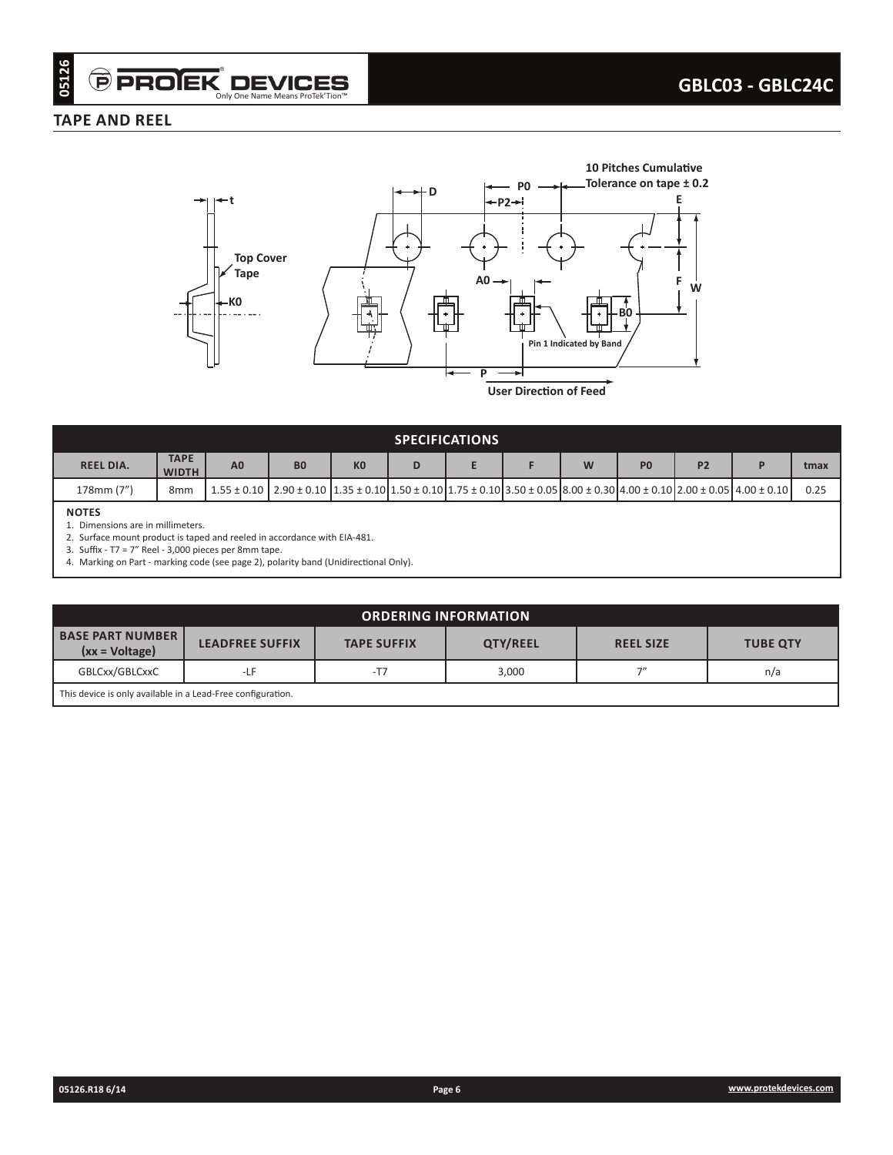#### **TAPE AND REEL**



| <b>SPECIFICATIONS</b> |                             |                                                                                                                                                                 |                |                |   |  |  |   |                |           |  |      |
|-----------------------|-----------------------------|-----------------------------------------------------------------------------------------------------------------------------------------------------------------|----------------|----------------|---|--|--|---|----------------|-----------|--|------|
| <b>REEL DIA.</b>      | <b>TAPE</b><br><b>WIDTH</b> | A <sub>0</sub>                                                                                                                                                  | B <sub>0</sub> | K <sub>0</sub> | D |  |  | W | P <sub>0</sub> | <b>P2</b> |  | tmax |
| 178mm (7")            | 8 <sub>mm</sub>             | $1.55 \pm 0.10$ $2.90 \pm 0.10$ $1.35 \pm 0.10$ $1.50 \pm 0.10$ $1.75 \pm 0.10$ $3.50 \pm 0.05$ $8.00 \pm 0.30$ $4.00 \pm 0.10$ $2.00 \pm 0.05$ $4.00 \pm 0.10$ |                |                |   |  |  |   |                |           |  | 0.25 |
| <b>NOTES</b>          |                             |                                                                                                                                                                 |                |                |   |  |  |   |                |           |  |      |

1. Dimensions are in millimeters.

2. Surface mount product is taped and reeled in accordance with EIA-481.

3. Suffix - T7 = 7" Reel - 3,000 pieces per 8mm tape.

4. Marking on Part - marking code (see page 2), polarity band (Unidirectional Only).

| <b>ORDERING INFORMATION</b>                 |                                                                                                 |       |       |    |     |  |  |  |  |
|---------------------------------------------|-------------------------------------------------------------------------------------------------|-------|-------|----|-----|--|--|--|--|
| <b>BASE PART NUMBER</b><br>$(xx = Voltage)$ | QTY/REEL<br><b>LEADFREE SUFFIX</b><br><b>TAPE SUFFIX</b><br><b>REEL SIZE</b><br><b>TUBE QTY</b> |       |       |    |     |  |  |  |  |
| GBLCxx/GBLCxxC                              | $-LF$                                                                                           | $-T7$ | 3,000 | フ" | n/a |  |  |  |  |
|                                             | This device is only available in a Lead-Free configuration.                                     |       |       |    |     |  |  |  |  |